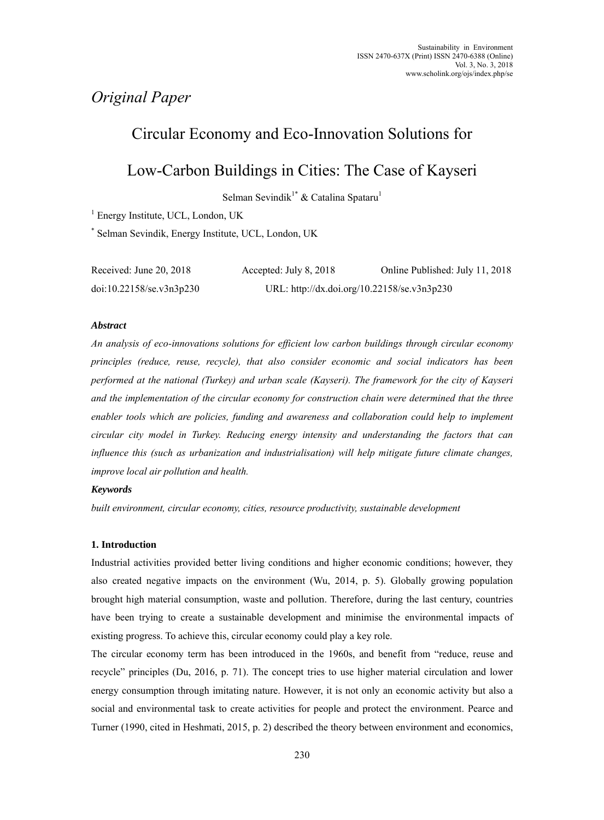# *Original Paper*

# Circular Economy and Eco-Innovation Solutions for

# Low-Carbon Buildings in Cities: The Case of Kayseri

Selman Sevindik<sup>1\*</sup> & Catalina Spataru<sup>1</sup>

<sup>1</sup> Energy Institute, UCL, London, UK

\* Selman Sevindik, Energy Institute, UCL, London, UK

| Received: June 20, 2018   | Accepted: July 8, 2018                      | Online Published: July 11, 2018 |
|---------------------------|---------------------------------------------|---------------------------------|
| doi:10.22158/sec.v3n3p230 | URL: http://dx.doi.org/10.22158/se.v3n3p230 |                                 |

# *Abstract*

*An analysis of eco-innovations solutions for efficient low carbon buildings through circular economy principles (reduce, reuse, recycle), that also consider economic and social indicators has been performed at the national (Turkey) and urban scale (Kayseri). The framework for the city of Kayseri and the implementation of the circular economy for construction chain were determined that the three enabler tools which are policies, funding and awareness and collaboration could help to implement circular city model in Turkey. Reducing energy intensity and understanding the factors that can influence this (such as urbanization and industrialisation) will help mitigate future climate changes, improve local air pollution and health.* 

# *Keywords*

*built environment, circular economy, cities, resource productivity, sustainable development* 

## **1. Introduction**

Industrial activities provided better living conditions and higher economic conditions; however, they also created negative impacts on the environment (Wu, 2014, p. 5). Globally growing population brought high material consumption, waste and pollution. Therefore, during the last century, countries have been trying to create a sustainable development and minimise the environmental impacts of existing progress. To achieve this, circular economy could play a key role.

The circular economy term has been introduced in the 1960s, and benefit from "reduce, reuse and recycle" principles (Du, 2016, p. 71). The concept tries to use higher material circulation and lower energy consumption through imitating nature. However, it is not only an economic activity but also a social and environmental task to create activities for people and protect the environment. Pearce and Turner (1990, cited in Heshmati, 2015, p. 2) described the theory between environment and economics,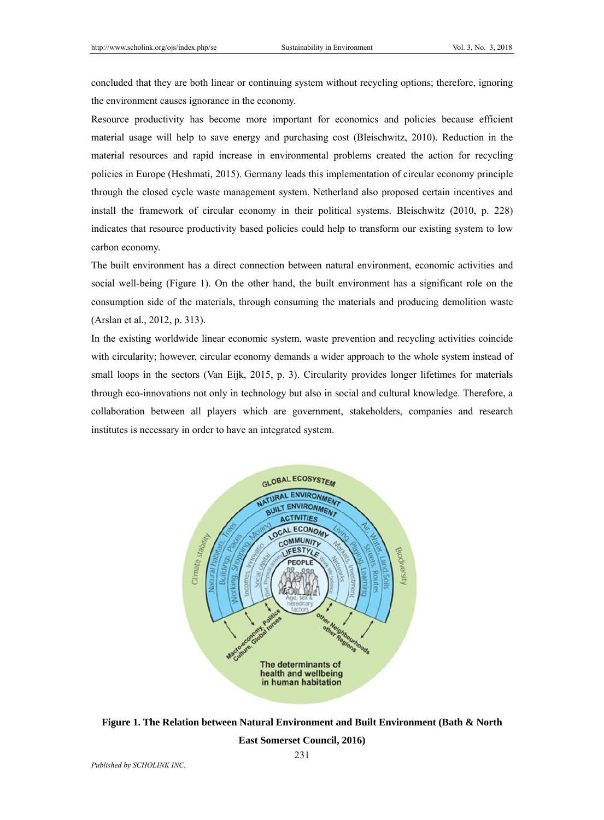concluded that they are both linear or continuing system without recycling options; therefore, ignoring the environment causes ignorance in the economy.

Resource productivity has become more important for economics and policies because efficient material usage will help to save energy and purchasing cost (Bleischwitz, 2010). Reduction in the material resources and rapid increase in environmental problems created the action for recycling policies in Europe (Heshmati, 2015). Germany leads this implementation of circular economy principle through the closed cycle waste management system. Netherland also proposed certain incentives and install the framework of circular economy in their political systems. Bleischwitz (2010, p. 228) indicates that resource productivity based policies could help to transform our existing system to low carbon economy.

The built environment has a direct connection between natural environment, economic activities and social well-being (Figure 1). On the other hand, the built environment has a significant role on the consumption side of the materials, through consuming the materials and producing demolition waste (Arslan et al., 2012, p. 313).

In the existing worldwide linear economic system, waste prevention and recycling activities coincide with circularity; however, circular economy demands a wider approach to the whole system instead of small loops in the sectors (Van Eijk, 2015, p. 3). Circularity provides longer lifetimes for materials through eco-innovations not only in technology but also in social and cultural knowledge. Therefore, a collaboration between all players which are government, stakeholders, companies and research institutes is necessary in order to have an integrated system.



**Figure 1. The Relation between Natural Environment and Built Environment (Bath & North** 

**East Somerset Council, 2016)**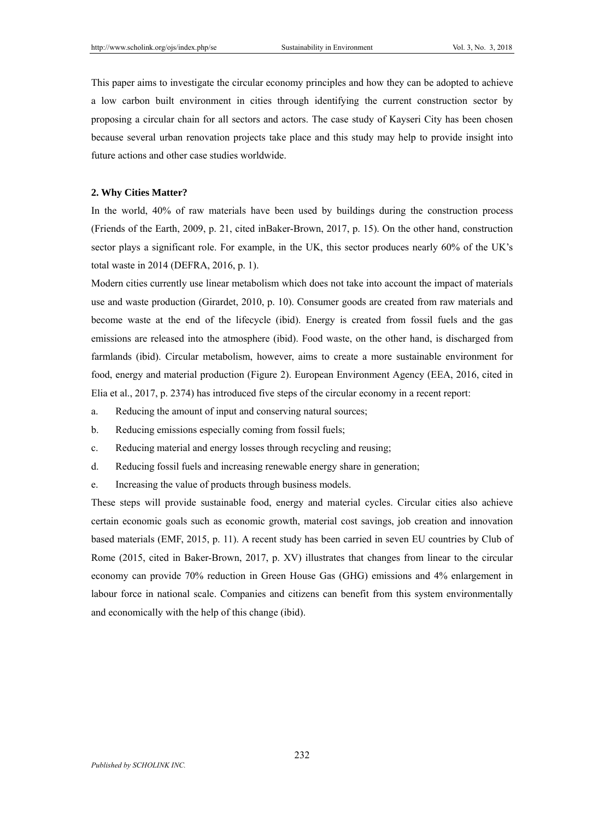This paper aims to investigate the circular economy principles and how they can be adopted to achieve a low carbon built environment in cities through identifying the current construction sector by proposing a circular chain for all sectors and actors. The case study of Kayseri City has been chosen because several urban renovation projects take place and this study may help to provide insight into future actions and other case studies worldwide.

### **2. Why Cities Matter?**

In the world, 40% of raw materials have been used by buildings during the construction process (Friends of the Earth, 2009, p. 21, cited inBaker-Brown, 2017, p. 15). On the other hand, construction sector plays a significant role. For example, in the UK, this sector produces nearly 60% of the UK's total waste in 2014 (DEFRA, 2016, p. 1).

Modern cities currently use linear metabolism which does not take into account the impact of materials use and waste production (Girardet, 2010, p. 10). Consumer goods are created from raw materials and become waste at the end of the lifecycle (ibid). Energy is created from fossil fuels and the gas emissions are released into the atmosphere (ibid). Food waste, on the other hand, is discharged from farmlands (ibid). Circular metabolism, however, aims to create a more sustainable environment for food, energy and material production (Figure 2). European Environment Agency (EEA, 2016, cited in Elia et al., 2017, p. 2374) has introduced five steps of the circular economy in a recent report:

- a. Reducing the amount of input and conserving natural sources;
- b. Reducing emissions especially coming from fossil fuels;
- c. Reducing material and energy losses through recycling and reusing;
- d. Reducing fossil fuels and increasing renewable energy share in generation;
- e. Increasing the value of products through business models.

These steps will provide sustainable food, energy and material cycles. Circular cities also achieve certain economic goals such as economic growth, material cost savings, job creation and innovation based materials (EMF, 2015, p. 11). A recent study has been carried in seven EU countries by Club of Rome (2015, cited in Baker-Brown, 2017, p. XV) illustrates that changes from linear to the circular economy can provide 70% reduction in Green House Gas (GHG) emissions and 4% enlargement in labour force in national scale. Companies and citizens can benefit from this system environmentally and economically with the help of this change (ibid).

232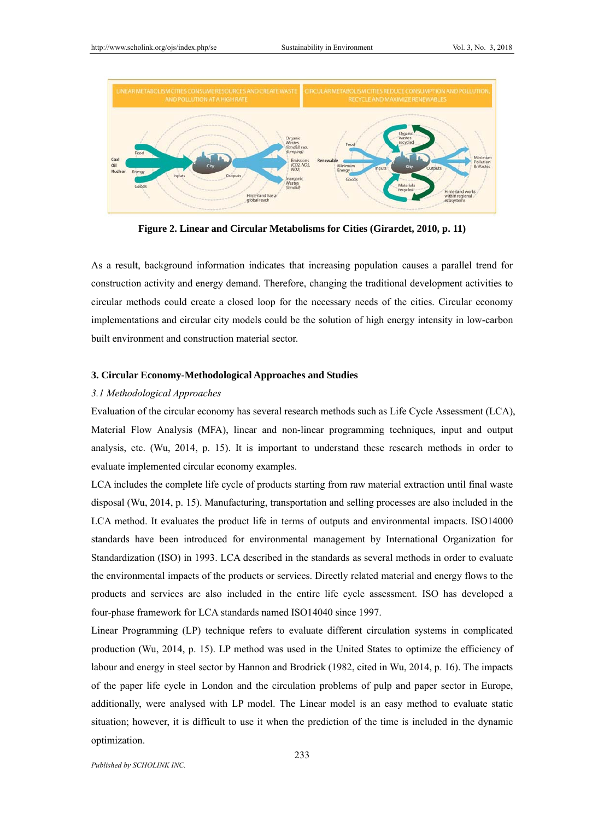

**Figure 2. Linear and Circular Metabolisms for Cities (Girardet, 2010, p. 11)** 

As a result, background information indicates that increasing population causes a parallel trend for construction activity and energy demand. Therefore, changing the traditional development activities to circular methods could create a closed loop for the necessary needs of the cities. Circular economy implementations and circular city models could be the solution of high energy intensity in low-carbon built environment and construction material sector.

## **3. Circular Economy-Methodological Approaches and Studies**

### *3.1 Methodological Approaches*

Evaluation of the circular economy has several research methods such as Life Cycle Assessment (LCA), Material Flow Analysis (MFA), linear and non-linear programming techniques, input and output analysis, etc. (Wu, 2014, p. 15). It is important to understand these research methods in order to evaluate implemented circular economy examples.

LCA includes the complete life cycle of products starting from raw material extraction until final waste disposal (Wu, 2014, p. 15). Manufacturing, transportation and selling processes are also included in the LCA method. It evaluates the product life in terms of outputs and environmental impacts. ISO14000 standards have been introduced for environmental management by International Organization for Standardization (ISO) in 1993. LCA described in the standards as several methods in order to evaluate the environmental impacts of the products or services. Directly related material and energy flows to the products and services are also included in the entire life cycle assessment. ISO has developed a four-phase framework for LCA standards named ISO14040 since 1997.

Linear Programming (LP) technique refers to evaluate different circulation systems in complicated production (Wu, 2014, p. 15). LP method was used in the United States to optimize the efficiency of labour and energy in steel sector by Hannon and Brodrick (1982, cited in Wu, 2014, p. 16). The impacts of the paper life cycle in London and the circulation problems of pulp and paper sector in Europe, additionally, were analysed with LP model. The Linear model is an easy method to evaluate static situation; however, it is difficult to use it when the prediction of the time is included in the dynamic optimization.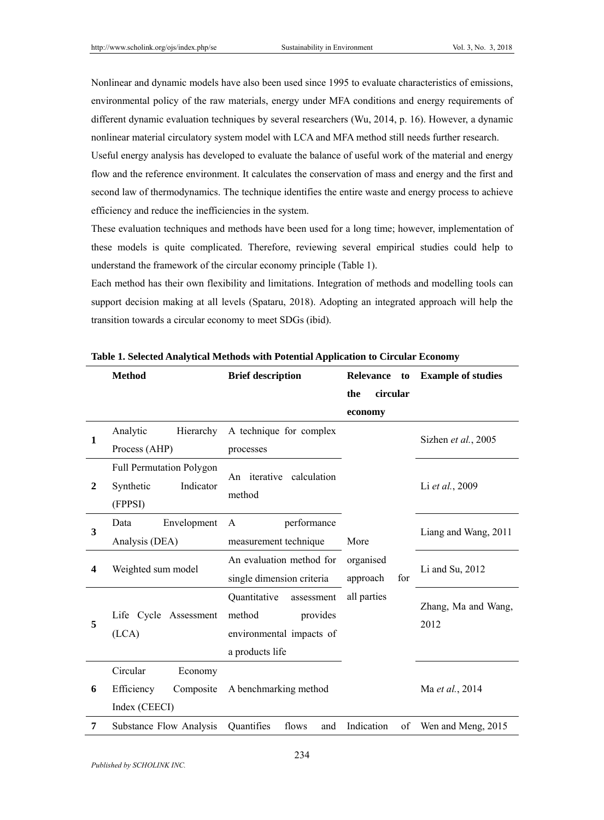Nonlinear and dynamic models have also been used since 1995 to evaluate characteristics of emissions, environmental policy of the raw materials, energy under MFA conditions and energy requirements of different dynamic evaluation techniques by several researchers (Wu, 2014, p. 16). However, a dynamic nonlinear material circulatory system model with LCA and MFA method still needs further research.

Useful energy analysis has developed to evaluate the balance of useful work of the material and energy flow and the reference environment. It calculates the conservation of mass and energy and the first and second law of thermodynamics. The technique identifies the entire waste and energy process to achieve efficiency and reduce the inefficiencies in the system.

These evaluation techniques and methods have been used for a long time; however, implementation of these models is quite complicated. Therefore, reviewing several empirical studies could help to understand the framework of the circular economy principle (Table 1).

Each method has their own flexibility and limitations. Integration of methods and modelling tools can support decision making at all levels (Spataru, 2018). Adopting an integrated approach will help the transition towards a circular economy to meet SDGs (ibid).

|              | <b>Method</b>                   | <b>Brief description</b>   | Relevance<br>to  | <b>Example of studies</b> |
|--------------|---------------------------------|----------------------------|------------------|---------------------------|
|              |                                 |                            | circular<br>the  |                           |
|              |                                 |                            | economy          |                           |
| 1            | Analytic<br>Hierarchy           | A technique for complex    |                  | Sizhen et al., 2005       |
|              | Process (AHP)                   | processes                  |                  |                           |
|              | <b>Full Permutation Polygon</b> | An iterative calculation   |                  |                           |
| $\mathbf{2}$ | Indicator<br>Synthetic          | method                     |                  | Li et al., 2009           |
|              | (FPPSI)                         |                            |                  |                           |
| 3            | Envelopment<br>Data             | performance<br>A           |                  | Liang and Wang, 2011      |
|              | Analysis (DEA)                  | measurement technique      | More             |                           |
| 4            | Weighted sum model              | An evaluation method for   | organised        | Li and Su, 2012           |
|              |                                 | single dimension criteria  | for<br>approach  |                           |
|              |                                 | Quantitative<br>assessment | all parties      | Zhang, Ma and Wang,       |
| 5            | Life Cycle Assessment           | method<br>provides         |                  | 2012                      |
|              | (LCA)                           | environmental impacts of   |                  |                           |
|              |                                 | a products life            |                  |                           |
|              | Circular<br>Economy             |                            |                  |                           |
| 6            | Composite<br>Efficiency         | A benchmarking method      |                  | Ma et al., 2014           |
|              | Index (CEECI)                   |                            |                  |                           |
| 7            | Substance Flow Analysis         | Quantifies<br>flows<br>and | Indication<br>of | Wen and Meng, 2015        |

**Table 1. Selected Analytical Methods with Potential Application to Circular Economy**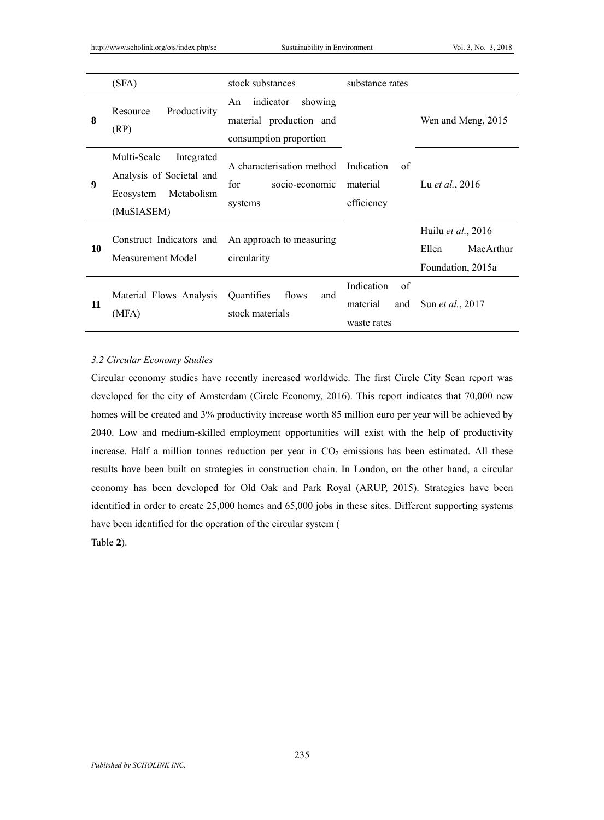|    | (SFA)                                                                                          | stock substances                                                                | substance rates                                    |                                                               |
|----|------------------------------------------------------------------------------------------------|---------------------------------------------------------------------------------|----------------------------------------------------|---------------------------------------------------------------|
| 8  | Productivity<br>Resource<br>(RP)                                                               | indicator<br>showing<br>An<br>material production and<br>consumption proportion |                                                    | Wen and Meng, 2015                                            |
| 9  | Multi-Scale<br>Integrated<br>Analysis of Societal and<br>Metabolism<br>Ecosystem<br>(MuSIASEM) | A characterisation method Indication<br>for<br>socio-economic<br>systems        | of<br>material<br>efficiency                       | Lu <i>et al.</i> , 2016                                       |
| 10 | Construct Indicators and<br>Measurement Model                                                  | An approach to measuring<br>circularity                                         |                                                    | Huilu et al., 2016<br>Ellen<br>MacArthur<br>Foundation, 2015a |
| 11 | Material Flows Analysis<br>(MFA)                                                               | Quantifies<br>flows<br>and<br>stock materials                                   | Indication<br>of<br>material<br>and<br>waste rates | Sun et al., 2017                                              |

### *3.2 Circular Economy Studies*

Circular economy studies have recently increased worldwide. The first Circle City Scan report was developed for the city of Amsterdam (Circle Economy, 2016). This report indicates that 70,000 new homes will be created and 3% productivity increase worth 85 million euro per year will be achieved by 2040. Low and medium-skilled employment opportunities will exist with the help of productivity increase. Half a million tonnes reduction per year in  $CO<sub>2</sub>$  emissions has been estimated. All these results have been built on strategies in construction chain. In London, on the other hand, a circular economy has been developed for Old Oak and Park Royal (ARUP, 2015). Strategies have been identified in order to create 25,000 homes and 65,000 jobs in these sites. Different supporting systems have been identified for the operation of the circular system ( Table **2**).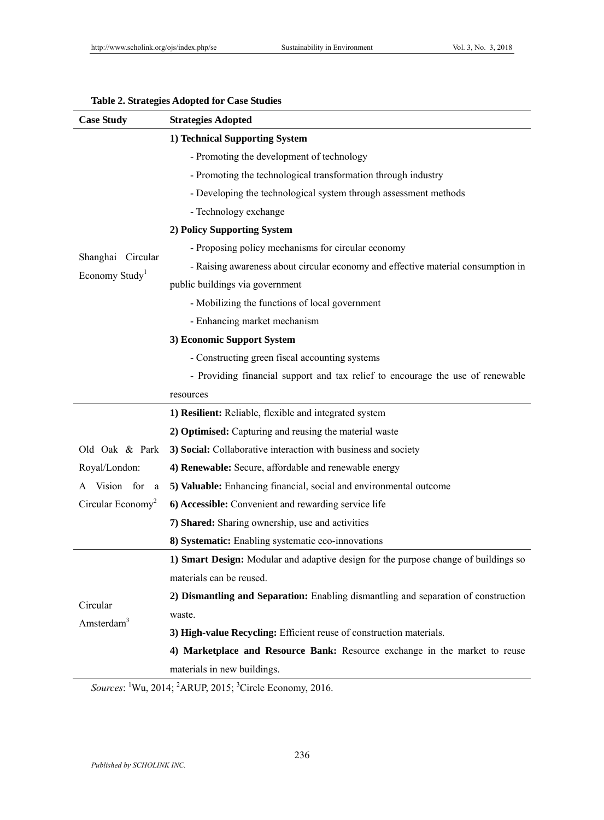| <b>Case Study</b>             | <b>Strategies Adopted</b>                                                           |
|-------------------------------|-------------------------------------------------------------------------------------|
|                               | 1) Technical Supporting System                                                      |
|                               | - Promoting the development of technology                                           |
|                               | - Promoting the technological transformation through industry                       |
|                               | - Developing the technological system through assessment methods                    |
|                               | - Technology exchange                                                               |
|                               | 2) Policy Supporting System                                                         |
|                               | - Proposing policy mechanisms for circular economy                                  |
| Shanghai Circular             | - Raising awareness about circular economy and effective material consumption in    |
| Economy Study <sup>1</sup>    | public buildings via government                                                     |
|                               | - Mobilizing the functions of local government                                      |
|                               | - Enhancing market mechanism                                                        |
|                               | 3) Economic Support System                                                          |
|                               | - Constructing green fiscal accounting systems                                      |
|                               | - Providing financial support and tax relief to encourage the use of renewable      |
|                               | resources                                                                           |
|                               | 1) Resilient: Reliable, flexible and integrated system                              |
|                               | 2) Optimised: Capturing and reusing the material waste                              |
| Old Oak & Park                | 3) Social: Collaborative interaction with business and society                      |
| Royal/London:                 | 4) Renewable: Secure, affordable and renewable energy                               |
| Vision for<br>a<br>А          | 5) Valuable: Enhancing financial, social and environmental outcome                  |
| Circular Economy <sup>2</sup> | 6) Accessible: Convenient and rewarding service life                                |
|                               | 7) Shared: Sharing ownership, use and activities                                    |
|                               | 8) Systematic: Enabling systematic eco-innovations                                  |
|                               | 1) Smart Design: Modular and adaptive design for the purpose change of buildings so |
|                               | materials can be reused.                                                            |
|                               | 2) Dismantling and Separation: Enabling dismantling and separation of construction  |
| Circular                      | waste.                                                                              |
| Amsterdam <sup>3</sup>        | 3) High-value Recycling: Efficient reuse of construction materials.                 |
|                               | 4) Marketplace and Resource Bank: Resource exchange in the market to reuse          |
|                               | materials in new buildings.                                                         |
|                               |                                                                                     |

# **Table 2. Strategies Adopted for Case Studies**

Sources: <sup>1</sup>Wu, 2014; <sup>2</sup>ARUP, 2015; <sup>3</sup>Circle Economy, 2016.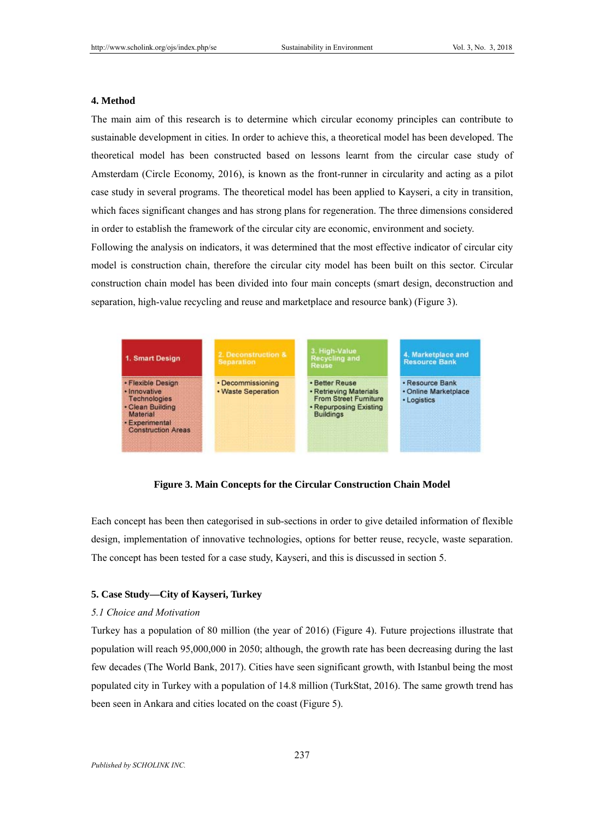### **4. Method**

The main aim of this research is to determine which circular economy principles can contribute to sustainable development in cities. In order to achieve this, a theoretical model has been developed. The theoretical model has been constructed based on lessons learnt from the circular case study of Amsterdam (Circle Economy, 2016), is known as the front-runner in circularity and acting as a pilot case study in several programs. The theoretical model has been applied to Kayseri, a city in transition, which faces significant changes and has strong plans for regeneration. The three dimensions considered in order to establish the framework of the circular city are economic, environment and society.

Following the analysis on indicators, it was determined that the most effective indicator of circular city model is construction chain, therefore the circular city model has been built on this sector. Circular construction chain model has been divided into four main concepts (smart design, deconstruction and separation, high-value recycling and reuse and marketplace and resource bank) (Figure 3).



**Figure 3. Main Concepts for the Circular Construction Chain Model** 

Each concept has been then categorised in sub-sections in order to give detailed information of flexible design, implementation of innovative technologies, options for better reuse, recycle, waste separation. The concept has been tested for a case study, Kayseri, and this is discussed in section 5.

### **5. Case Study—City of Kayseri, Turkey**

### *5.1 Choice and Motivation*

Turkey has a population of 80 million (the year of 2016) (Figure 4). Future projections illustrate that population will reach 95,000,000 in 2050; although, the growth rate has been decreasing during the last few decades (The World Bank, 2017). Cities have seen significant growth, with Istanbul being the most populated city in Turkey with a population of 14.8 million (TurkStat, 2016). The same growth trend has been seen in Ankara and cities located on the coast (Figure 5).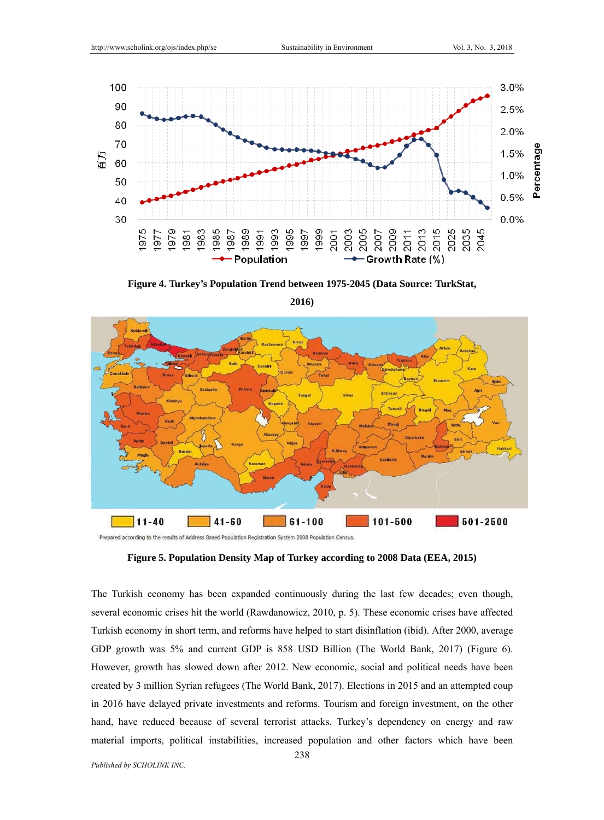

**Figure 4. Turkey's Population Trend between 1975-2045 (Data Source: TurkStat,** 



**2016)**

The Turkish economy has been expanded continuously during the last few decades; even though, several economic crises hit the world (Rawdanowicz, 2010, p. 5). These economic crises have affected Turkish economy in short term, and reforms have helped to start disinflation (ibid). After 2000, average GDP growth was 5% and current GDP is 858 USD Billion (The World Bank, 2017) (Figure 6). However, growth has slowed down after 2012. New economic, social and political needs have been created by 3 million Syrian refugees (The World Bank, 2017). Elections in 2015 and an attempted coup in 2016 have delayed private investments and reforms. Tourism and foreign investment, on the other hand, have reduced because of several terrorist attacks. Turkey's dependency on energy and raw material imports, political instabilities, increased population and other factors which have been

**Figure 5. Population Density Map of Turkey according to 2008 Data (EEA, 2015)**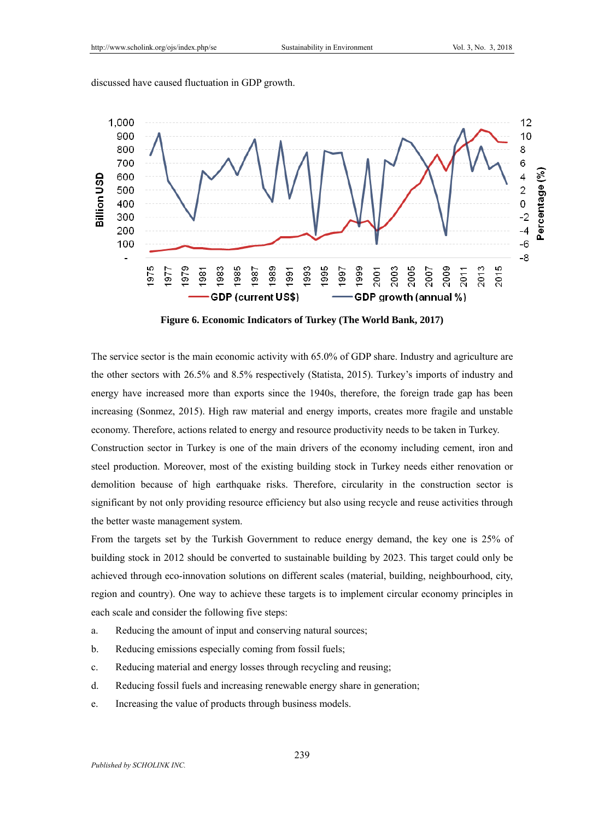discussed have caused fluctuation in GDP growth.



**Figure 6. Economic Indicators of Turkey (The World Bank, 2017)** 

The service sector is the main economic activity with 65.0% of GDP share. Industry and agriculture are the other sectors with 26.5% and 8.5% respectively (Statista, 2015). Turkey's imports of industry and energy have increased more than exports since the 1940s, therefore, the foreign trade gap has been increasing (Sonmez, 2015). High raw material and energy imports, creates more fragile and unstable economy. Therefore, actions related to energy and resource productivity needs to be taken in Turkey.

Construction sector in Turkey is one of the main drivers of the economy including cement, iron and steel production. Moreover, most of the existing building stock in Turkey needs either renovation or demolition because of high earthquake risks. Therefore, circularity in the construction sector is significant by not only providing resource efficiency but also using recycle and reuse activities through the better waste management system.

From the targets set by the Turkish Government to reduce energy demand, the key one is 25% of building stock in 2012 should be converted to sustainable building by 2023. This target could only be achieved through eco-innovation solutions on different scales (material, building, neighbourhood, city, region and country). One way to achieve these targets is to implement circular economy principles in each scale and consider the following five steps:

- a. Reducing the amount of input and conserving natural sources;
- b. Reducing emissions especially coming from fossil fuels;
- c. Reducing material and energy losses through recycling and reusing;
- d. Reducing fossil fuels and increasing renewable energy share in generation;
- e. Increasing the value of products through business models.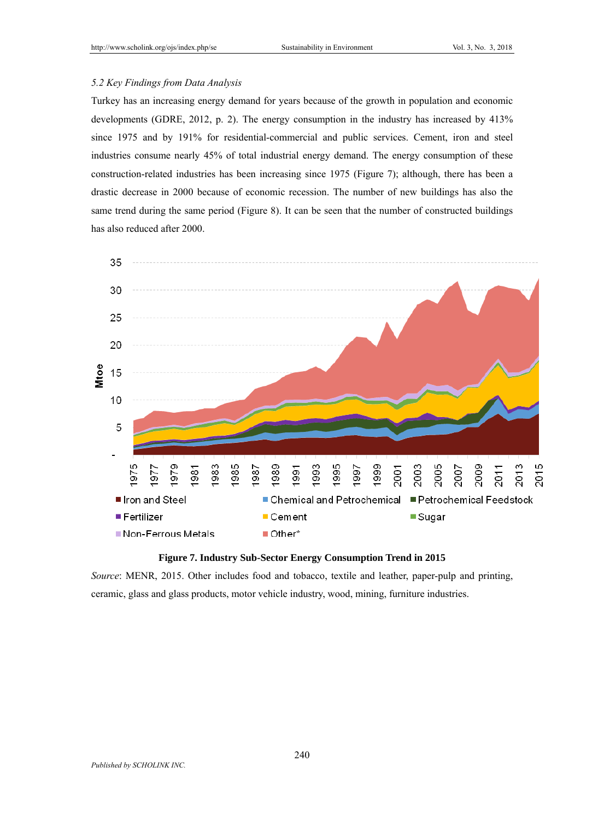# *5.2 Key Findings from Data Analysis*

Turkey has an increasing energy demand for years because of the growth in population and economic developments (GDRE, 2012, p. 2). The energy consumption in the industry has increased by 413% since 1975 and by 191% for residential-commercial and public services. Cement, iron and steel industries consume nearly 45% of total industrial energy demand. The energy consumption of these construction-related industries has been increasing since 1975 (Figure 7); although, there has been a drastic decrease in 2000 because of economic recession. The number of new buildings has also the same trend during the same period (Figure 8). It can be seen that the number of constructed buildings has also reduced after 2000.





*Source*: MENR, 2015. Other includes food and tobacco, textile and leather, paper-pulp and printing, ceramic, glass and glass products, motor vehicle industry, wood, mining, furniture industries.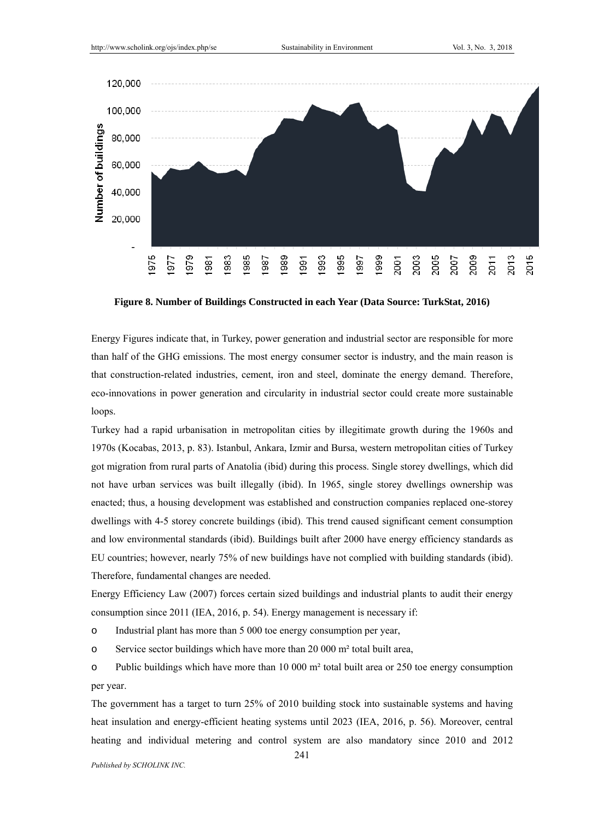

**Figure 8. Number of Buildings Constructed in each Year (Data Source: TurkStat, 2016)** 

Energy Figures indicate that, in Turkey, power generation and industrial sector are responsible for more than half of the GHG emissions. The most energy consumer sector is industry, and the main reason is that construction-related industries, cement, iron and steel, dominate the energy demand. Therefore, eco-innovations in power generation and circularity in industrial sector could create more sustainable loops.

Turkey had a rapid urbanisation in metropolitan cities by illegitimate growth during the 1960s and 1970s (Kocabas, 2013, p. 83). Istanbul, Ankara, Izmir and Bursa, western metropolitan cities of Turkey got migration from rural parts of Anatolia (ibid) during this process. Single storey dwellings, which did not have urban services was built illegally (ibid). In 1965, single storey dwellings ownership was enacted; thus, a housing development was established and construction companies replaced one-storey dwellings with 4-5 storey concrete buildings (ibid). This trend caused significant cement consumption and low environmental standards (ibid). Buildings built after 2000 have energy efficiency standards as EU countries; however, nearly 75% of new buildings have not complied with building standards (ibid). Therefore, fundamental changes are needed.

Energy Efficiency Law (2007) forces certain sized buildings and industrial plants to audit their energy consumption since 2011 (IEA, 2016, p. 54). Energy management is necessary if:

o Industrial plant has more than 5 000 toe energy consumption per year,

o Service sector buildings which have more than 20 000 m² total built area,

o Public buildings which have more than 10 000 m² total built area or 250 toe energy consumption per year.

The government has a target to turn 25% of 2010 building stock into sustainable systems and having heat insulation and energy-efficient heating systems until 2023 (IEA, 2016, p. 56). Moreover, central heating and individual metering and control system are also mandatory since 2010 and 2012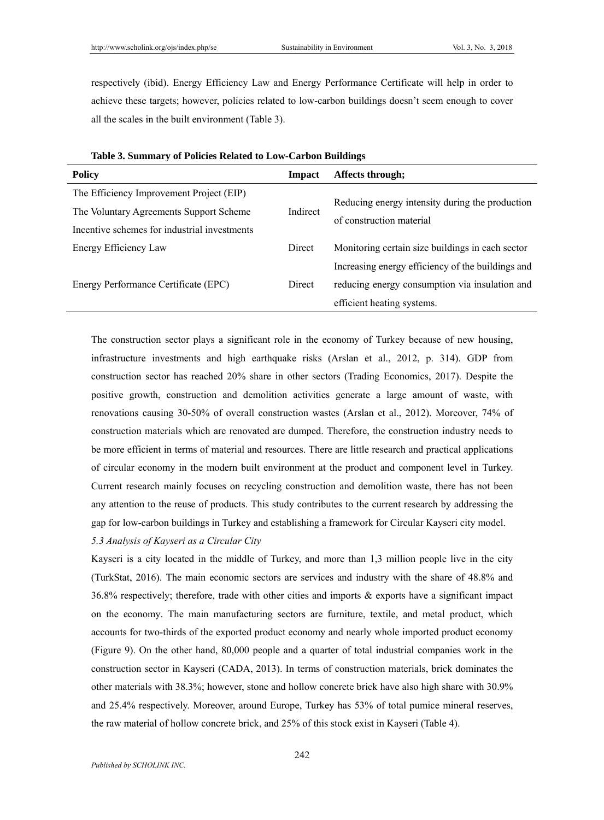respectively (ibid). Energy Efficiency Law and Energy Performance Certificate will help in order to achieve these targets; however, policies related to low-carbon buildings doesn't seem enough to cover all the scales in the built environment (Table 3).

| Affects through;<br>Impact                                                                       |  |
|--------------------------------------------------------------------------------------------------|--|
| The Efficiency Improvement Project (EIP)                                                         |  |
| The Voluntary Agreements Support Scheme<br>Indirect                                              |  |
| Incentive schemes for industrial investments                                                     |  |
| Monitoring certain size buildings in each sector<br>Energy Efficiency Law<br>Direct              |  |
| Increasing energy efficiency of the buildings and                                                |  |
| reducing energy consumption via insulation and<br>Energy Performance Certificate (EPC)<br>Direct |  |
| efficient heating systems.                                                                       |  |
| Reducing energy intensity during the production<br>of construction material                      |  |

|  |  | Table 3. Summary of Policies Related to Low-Carbon Buildings |  |
|--|--|--------------------------------------------------------------|--|
|  |  |                                                              |  |

The construction sector plays a significant role in the economy of Turkey because of new housing, infrastructure investments and high earthquake risks (Arslan et al., 2012, p. 314). GDP from construction sector has reached 20% share in other sectors (Trading Economics, 2017). Despite the positive growth, construction and demolition activities generate a large amount of waste, with renovations causing 30-50% of overall construction wastes (Arslan et al., 2012). Moreover, 74% of construction materials which are renovated are dumped. Therefore, the construction industry needs to be more efficient in terms of material and resources. There are little research and practical applications of circular economy in the modern built environment at the product and component level in Turkey. Current research mainly focuses on recycling construction and demolition waste, there has not been any attention to the reuse of products. This study contributes to the current research by addressing the gap for low-carbon buildings in Turkey and establishing a framework for Circular Kayseri city model.

### *5.3 Analysis of Kayseri as a Circular City*

Kayseri is a city located in the middle of Turkey, and more than 1,3 million people live in the city (TurkStat, 2016). The main economic sectors are services and industry with the share of 48.8% and 36.8% respectively; therefore, trade with other cities and imports & exports have a significant impact on the economy. The main manufacturing sectors are furniture, textile, and metal product, which accounts for two-thirds of the exported product economy and nearly whole imported product economy (Figure 9). On the other hand, 80,000 people and a quarter of total industrial companies work in the construction sector in Kayseri (CADA, 2013). In terms of construction materials, brick dominates the other materials with 38.3%; however, stone and hollow concrete brick have also high share with 30.9% and 25.4% respectively. Moreover, around Europe, Turkey has 53% of total pumice mineral reserves, the raw material of hollow concrete brick, and 25% of this stock exist in Kayseri (Table 4).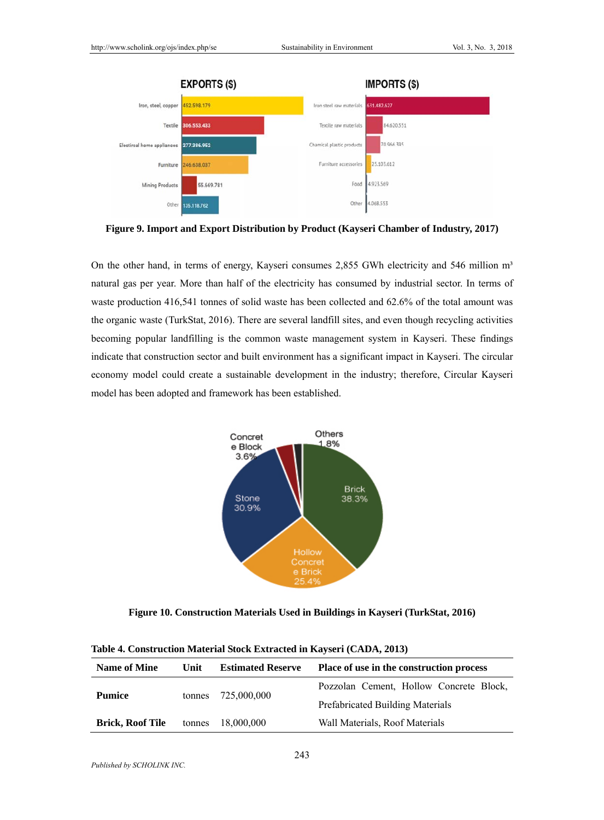

**Figure 9. Import and Export Distribution by Product (Kayseri Chamber of Industry, 2017)** 

On the other hand, in terms of energy, Kayseri consumes 2,855 GWh electricity and 546 million  $m<sup>3</sup>$ natural gas per year. More than half of the electricity has consumed by industrial sector. In terms of waste production 416,541 tonnes of solid waste has been collected and 62.6% of the total amount was the organic waste (TurkStat, 2016). There are several landfill sites, and even though recycling activities becoming popular landfilling is the common waste management system in Kayseri. These findings indicate that construction sector and built environment has a significant impact in Kayseri. The circular economy model could create a sustainable development in the industry; therefore, Circular Kayseri model has been adopted and framework has been established.



**Figure 10. Construction Materials Used in Buildings in Kayseri (TurkStat, 2016)** 

| Table 4. Construction Material Stock Extracted in Kayseri (CADA, 2013)            |        |                          |                                          |  |  |
|-----------------------------------------------------------------------------------|--------|--------------------------|------------------------------------------|--|--|
| <b>Name of Mine</b>                                                               | Unit   | <b>Estimated Reserve</b> | Place of use in the construction process |  |  |
| <b>Pumice</b>                                                                     |        |                          | Pozzolan Cement, Hollow Concrete Block,  |  |  |
|                                                                                   | tonnes | 725,000,000              | <b>Prefabricated Building Materials</b>  |  |  |
| Wall Materials, Roof Materials<br><b>Brick, Roof Tile</b><br>18,000,000<br>tonnes |        |                          |                                          |  |  |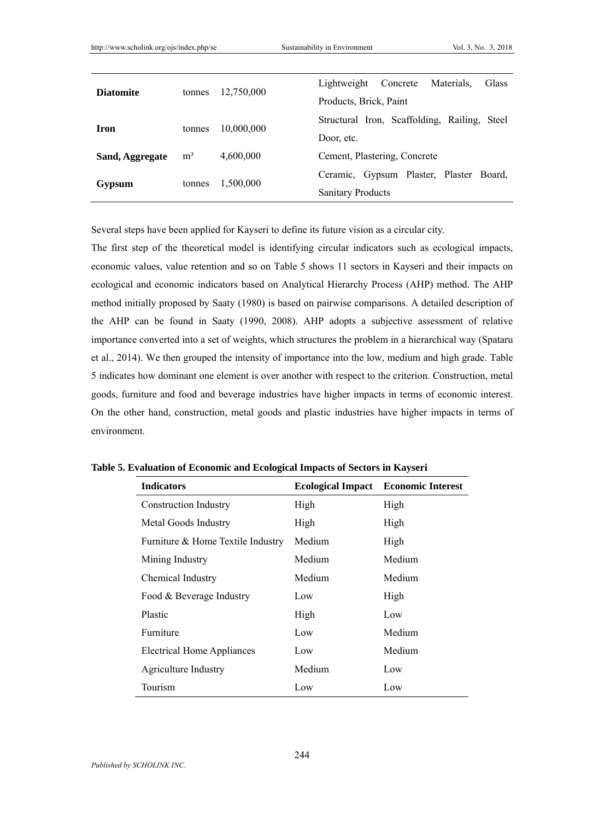| <b>Diatomite</b><br>tonnes |                     |                          | Lightweight<br>Concrete<br>Materials.<br>Glass |
|----------------------------|---------------------|--------------------------|------------------------------------------------|
|                            | 12,750,000          | Products, Brick, Paint   |                                                |
| <b>Iron</b><br>tonnes      |                     |                          | Structural Iron, Scaffolding, Railing, Steel   |
|                            | 10,000,000          | Door, etc.               |                                                |
| Sand, Aggregate            | m <sup>3</sup>      | 4,600,000                | Cement, Plastering, Concrete                   |
|                            |                     |                          | Ceramic, Gypsum Plaster, Plaster Board,        |
| Gypsum                     | 1,500,000<br>tonnes | <b>Sanitary Products</b> |                                                |

Several steps have been applied for Kayseri to define its future vision as a circular city.

The first step of the theoretical model is identifying circular indicators such as ecological impacts, economic values, value retention and so on Table 5 shows 11 sectors in Kayseri and their impacts on ecological and economic indicators based on Analytical Hierarchy Process (AHP) method. The AHP method initially proposed by Saaty (1980) is based on pairwise comparisons. A detailed description of the AHP can be found in Saaty (1990, 2008). AHP adopts a subjective assessment of relative importance converted into a set of weights, which structures the problem in a hierarchical way (Spataru et al., 2014). We then grouped the intensity of importance into the low, medium and high grade. Table 5 indicates how dominant one element is over another with respect to the criterion. Construction, metal goods, furniture and food and beverage industries have higher impacts in terms of economic interest. On the other hand, construction, metal goods and plastic industries have higher impacts in terms of environment.

| <b>Indicators</b>                 | <b>Ecological Impact</b> | <b>Economic Interest</b> |
|-----------------------------------|--------------------------|--------------------------|
| <b>Construction Industry</b>      | High                     | High                     |
| Metal Goods Industry              | High                     | High                     |
| Furniture & Home Textile Industry | Medium                   | High                     |
| Mining Industry                   | Medium                   | Medium                   |
| Chemical Industry                 | Medium                   | Medium                   |
| Food & Beverage Industry          | Low                      | High                     |
| Plastic                           | High                     | Low                      |
| Furniture                         | Low                      | Medium                   |
| <b>Electrical Home Appliances</b> | Low                      | Medium                   |
| <b>Agriculture Industry</b>       | Medium                   | Low                      |
| Tourism                           | Low                      | Low                      |

**Table 5. Evaluation of Economic and Ecological Impacts of Sectors in Kayseri**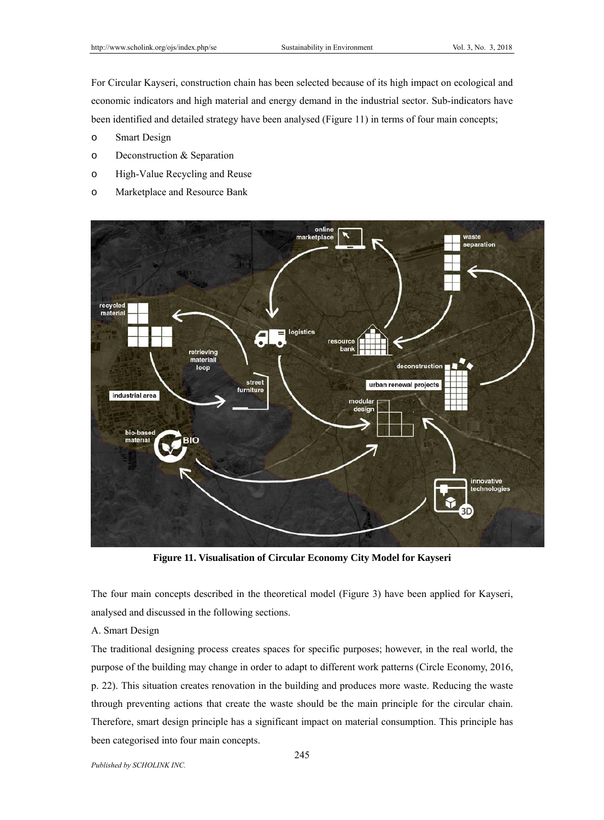For Circular Kayseri, construction chain has been selected because of its high impact on ecological and economic indicators and high material and energy demand in the industrial sector. Sub-indicators have been identified and detailed strategy have been analysed (Figure 11) in terms of four main concepts;

- o Smart Design
- o Deconstruction & Separation
- o High-Value Recycling and Reuse
- o Marketplace and Resource Bank



**Figure 11. Visualisation of Circular Economy City Model for Kayseri** 

The four main concepts described in the theoretical model (Figure 3) have been applied for Kayseri, analysed and discussed in the following sections.

A. Smart Design

The traditional designing process creates spaces for specific purposes; however, in the real world, the purpose of the building may change in order to adapt to different work patterns (Circle Economy, 2016, p. 22). This situation creates renovation in the building and produces more waste. Reducing the waste through preventing actions that create the waste should be the main principle for the circular chain. Therefore, smart design principle has a significant impact on material consumption. This principle has been categorised into four main concepts.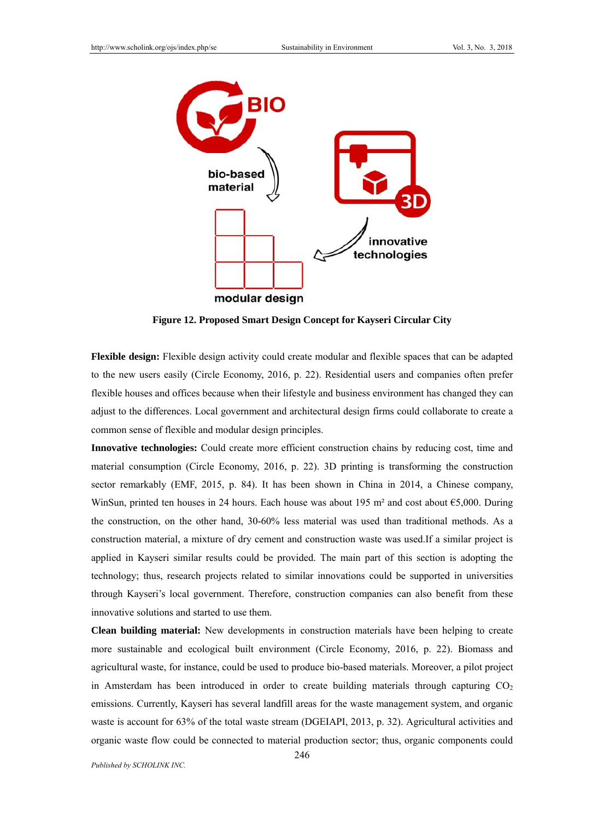

**Figure 12. Proposed Smart Design Concept for Kayseri Circular City** 

**Flexible design:** Flexible design activity could create modular and flexible spaces that can be adapted to the new users easily (Circle Economy, 2016, p. 22). Residential users and companies often prefer flexible houses and offices because when their lifestyle and business environment has changed they can adjust to the differences. Local government and architectural design firms could collaborate to create a common sense of flexible and modular design principles.

**Innovative technologies:** Could create more efficient construction chains by reducing cost, time and material consumption (Circle Economy, 2016, p. 22). 3D printing is transforming the construction sector remarkably (EMF, 2015, p. 84). It has been shown in China in 2014, a Chinese company, WinSun, printed ten houses in 24 hours. Each house was about 195 m² and cost about €5,000. During the construction, on the other hand, 30-60% less material was used than traditional methods. As a construction material, a mixture of dry cement and construction waste was used.If a similar project is applied in Kayseri similar results could be provided. The main part of this section is adopting the technology; thus, research projects related to similar innovations could be supported in universities through Kayseri's local government. Therefore, construction companies can also benefit from these innovative solutions and started to use them.

**Clean building material:** New developments in construction materials have been helping to create more sustainable and ecological built environment (Circle Economy, 2016, p. 22). Biomass and agricultural waste, for instance, could be used to produce bio-based materials. Moreover, a pilot project in Amsterdam has been introduced in order to create building materials through capturing  $CO<sub>2</sub>$ emissions. Currently, Kayseri has several landfill areas for the waste management system, and organic waste is account for 63% of the total waste stream (DGEIAPI, 2013, p. 32). Agricultural activities and organic waste flow could be connected to material production sector; thus, organic components could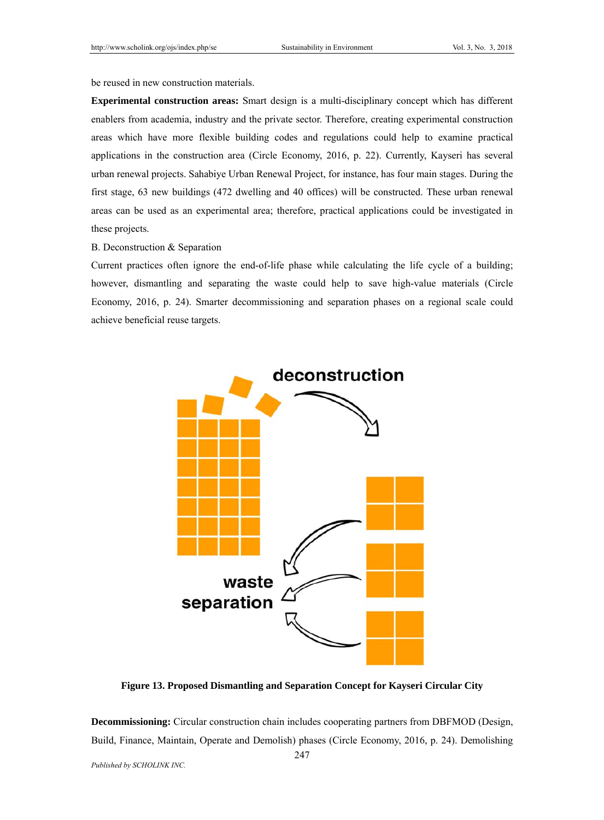be reused in new construction materials.

**Experimental construction areas:** Smart design is a multi-disciplinary concept which has different enablers from academia, industry and the private sector. Therefore, creating experimental construction areas which have more flexible building codes and regulations could help to examine practical applications in the construction area (Circle Economy, 2016, p. 22). Currently, Kayseri has several urban renewal projects. Sahabiye Urban Renewal Project, for instance, has four main stages. During the first stage, 63 new buildings (472 dwelling and 40 offices) will be constructed. These urban renewal areas can be used as an experimental area; therefore, practical applications could be investigated in these projects.

# B. Deconstruction & Separation

Current practices often ignore the end-of-life phase while calculating the life cycle of a building; however, dismantling and separating the waste could help to save high-value materials (Circle Economy, 2016, p. 24). Smarter decommissioning and separation phases on a regional scale could achieve beneficial reuse targets.



**Figure 13. Proposed Dismantling and Separation Concept for Kayseri Circular City** 

**Decommissioning:** Circular construction chain includes cooperating partners from DBFMOD (Design, Build, Finance, Maintain, Operate and Demolish) phases (Circle Economy, 2016, p. 24). Demolishing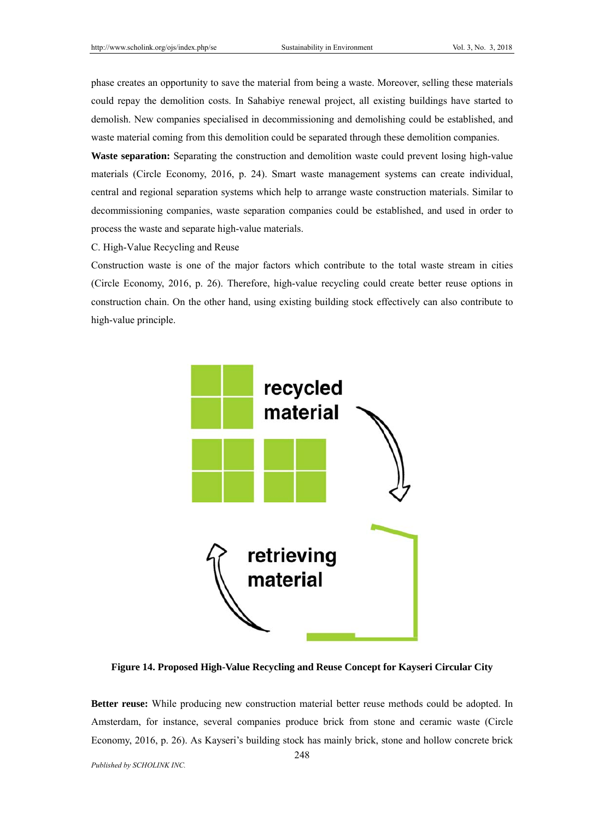phase creates an opportunity to save the material from being a waste. Moreover, selling these materials could repay the demolition costs. In Sahabiye renewal project, all existing buildings have started to demolish. New companies specialised in decommissioning and demolishing could be established, and waste material coming from this demolition could be separated through these demolition companies.

**Waste separation:** Separating the construction and demolition waste could prevent losing high-value materials (Circle Economy, 2016, p. 24). Smart waste management systems can create individual, central and regional separation systems which help to arrange waste construction materials. Similar to decommissioning companies, waste separation companies could be established, and used in order to process the waste and separate high-value materials.

C. High-Value Recycling and Reuse

Construction waste is one of the major factors which contribute to the total waste stream in cities (Circle Economy, 2016, p. 26). Therefore, high-value recycling could create better reuse options in construction chain. On the other hand, using existing building stock effectively can also contribute to high-value principle.



**Figure 14. Proposed High-Value Recycling and Reuse Concept for Kayseri Circular City** 

**Better reuse:** While producing new construction material better reuse methods could be adopted. In Amsterdam, for instance, several companies produce brick from stone and ceramic waste (Circle Economy, 2016, p. 26). As Kayseri's building stock has mainly brick, stone and hollow concrete brick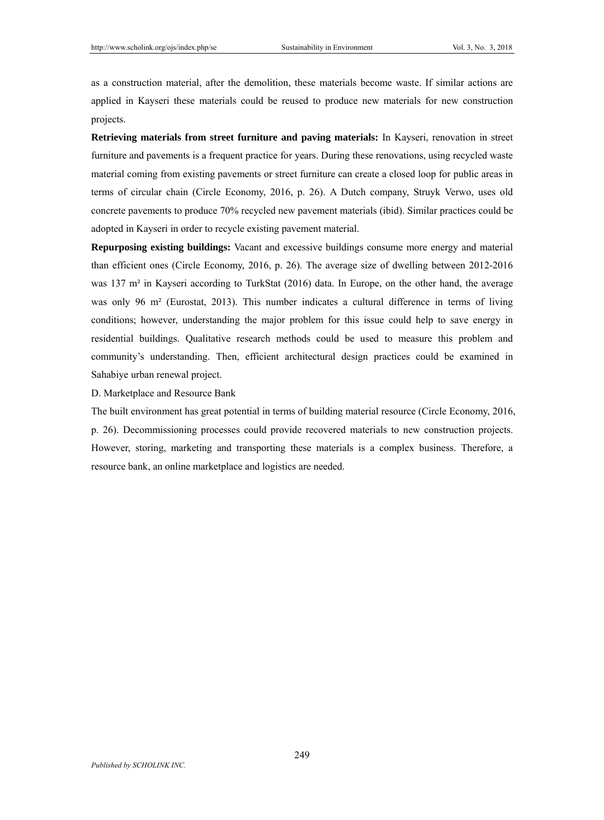as a construction material, after the demolition, these materials become waste. If similar actions are applied in Kayseri these materials could be reused to produce new materials for new construction projects.

**Retrieving materials from street furniture and paving materials:** In Kayseri, renovation in street furniture and pavements is a frequent practice for years. During these renovations, using recycled waste material coming from existing pavements or street furniture can create a closed loop for public areas in terms of circular chain (Circle Economy, 2016, p. 26). A Dutch company, Struyk Verwo, uses old concrete pavements to produce 70% recycled new pavement materials (ibid). Similar practices could be adopted in Kayseri in order to recycle existing pavement material.

**Repurposing existing buildings:** Vacant and excessive buildings consume more energy and material than efficient ones (Circle Economy, 2016, p. 26). The average size of dwelling between 2012-2016 was 137 m<sup>2</sup> in Kayseri according to TurkStat (2016) data. In Europe, on the other hand, the average was only 96 m<sup>2</sup> (Eurostat, 2013). This number indicates a cultural difference in terms of living conditions; however, understanding the major problem for this issue could help to save energy in residential buildings. Qualitative research methods could be used to measure this problem and community's understanding. Then, efficient architectural design practices could be examined in Sahabiye urban renewal project.

D. Marketplace and Resource Bank

The built environment has great potential in terms of building material resource (Circle Economy, 2016, p. 26). Decommissioning processes could provide recovered materials to new construction projects. However, storing, marketing and transporting these materials is a complex business. Therefore, a resource bank, an online marketplace and logistics are needed.

249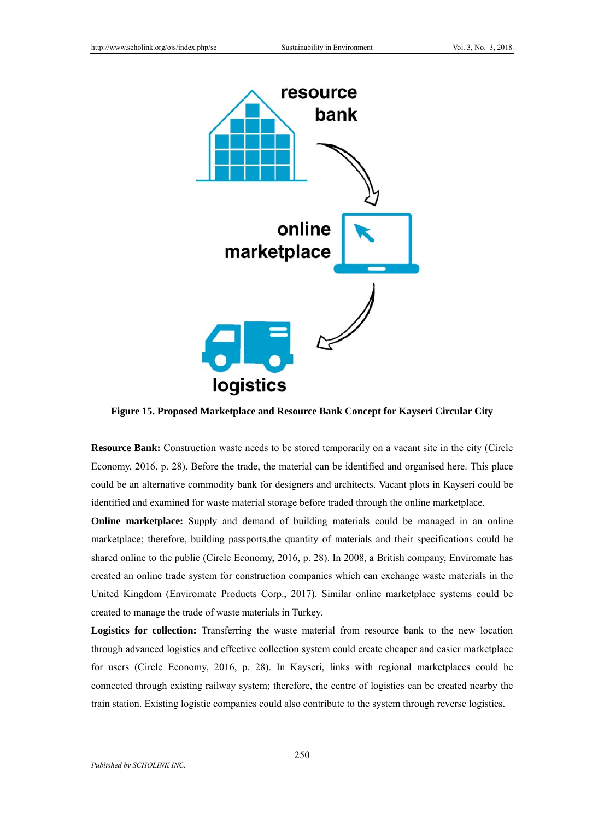

**Figure 15. Proposed Marketplace and Resource Bank Concept for Kayseri Circular City** 

**Resource Bank:** Construction waste needs to be stored temporarily on a vacant site in the city (Circle Economy, 2016, p. 28). Before the trade, the material can be identified and organised here. This place could be an alternative commodity bank for designers and architects. Vacant plots in Kayseri could be identified and examined for waste material storage before traded through the online marketplace.

**Online marketplace:** Supply and demand of building materials could be managed in an online marketplace; therefore, building passports,the quantity of materials and their specifications could be shared online to the public (Circle Economy, 2016, p. 28). In 2008, a British company, Enviromate has created an online trade system for construction companies which can exchange waste materials in the United Kingdom (Enviromate Products Corp., 2017). Similar online marketplace systems could be created to manage the trade of waste materials in Turkey.

**Logistics for collection:** Transferring the waste material from resource bank to the new location through advanced logistics and effective collection system could create cheaper and easier marketplace for users (Circle Economy, 2016, p. 28). In Kayseri, links with regional marketplaces could be connected through existing railway system; therefore, the centre of logistics can be created nearby the train station. Existing logistic companies could also contribute to the system through reverse logistics.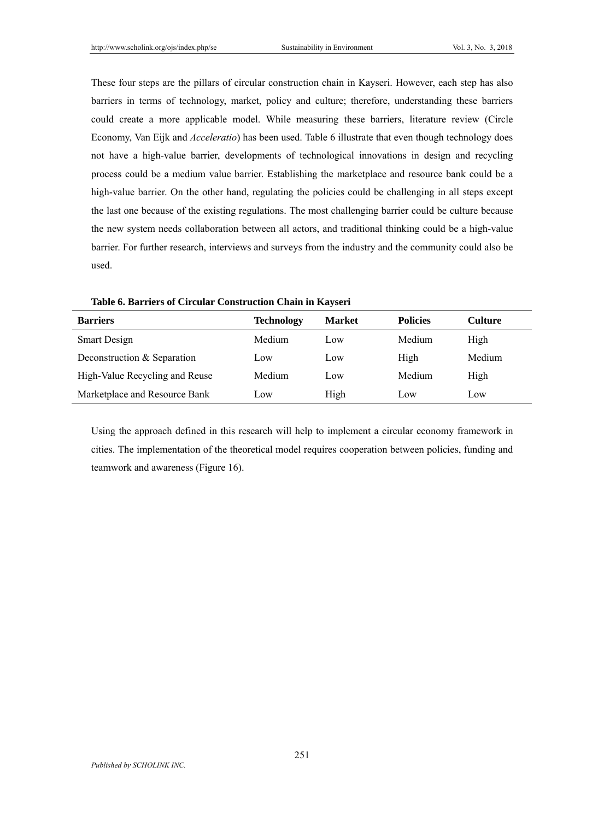These four steps are the pillars of circular construction chain in Kayseri. However, each step has also barriers in terms of technology, market, policy and culture; therefore, understanding these barriers could create a more applicable model. While measuring these barriers, literature review (Circle Economy, Van Eijk and *Acceleratio*) has been used. Table 6 illustrate that even though technology does not have a high-value barrier, developments of technological innovations in design and recycling process could be a medium value barrier. Establishing the marketplace and resource bank could be a high-value barrier. On the other hand, regulating the policies could be challenging in all steps except the last one because of the existing regulations. The most challenging barrier could be culture because the new system needs collaboration between all actors, and traditional thinking could be a high-value barrier. For further research, interviews and surveys from the industry and the community could also be used.

| Barriers       | <b>Technology</b> | <b>Market</b> | <b>Policies</b> | Culture |
|----------------|-------------------|---------------|-----------------|---------|
| $Smont Dcoion$ | Modium            | $\Delta$      | Modium          | ⊔i∝k    |

**Table 6. Barriers of Circular Construction Chain in Kayseri** 

| <i><b>Dalibi</b>s</i>          | $\lceil \mathbf{r} \rceil$ | waa isc | т опсте | <b>Cunun</b> |
|--------------------------------|----------------------------|---------|---------|--------------|
| <b>Smart Design</b>            | Medium                     | Low     | Medium  | High         |
| Deconstruction & Separation    | Low                        | Low     | High    | Medium       |
| High-Value Recycling and Reuse | Medium                     | Low     | Medium  | High         |
| Marketplace and Resource Bank  | Low                        | High    | Low     | Low          |

Using the approach defined in this research will help to implement a circular economy framework in cities. The implementation of the theoretical model requires cooperation between policies, funding and teamwork and awareness (Figure 16).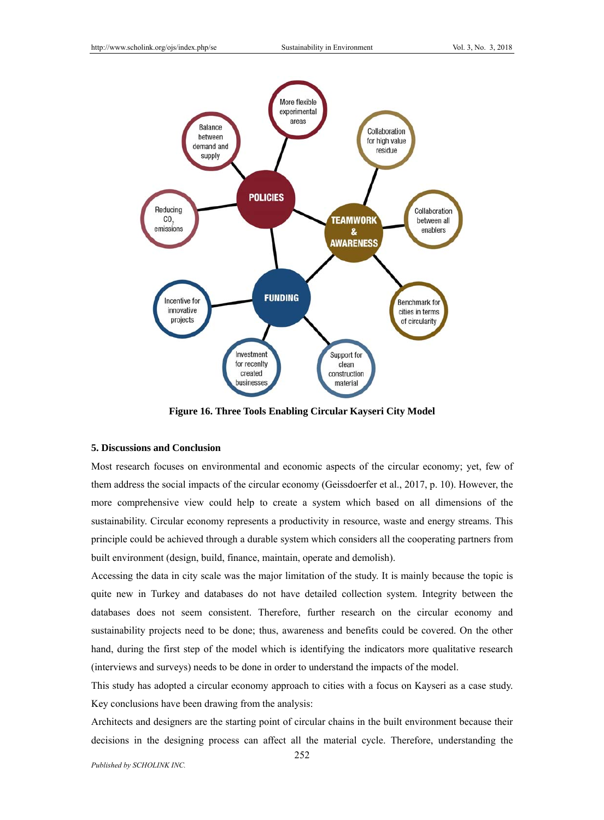

**Figure 16. Three Tools Enabling Circular Kayseri City Model** 

### **5. Discussions and Conclusion**

Most research focuses on environmental and economic aspects of the circular economy; yet, few of them address the social impacts of the circular economy (Geissdoerfer et al., 2017, p. 10). However, the more comprehensive view could help to create a system which based on all dimensions of the sustainability. Circular economy represents a productivity in resource, waste and energy streams. This principle could be achieved through a durable system which considers all the cooperating partners from built environment (design, build, finance, maintain, operate and demolish).

Accessing the data in city scale was the major limitation of the study. It is mainly because the topic is quite new in Turkey and databases do not have detailed collection system. Integrity between the databases does not seem consistent. Therefore, further research on the circular economy and sustainability projects need to be done; thus, awareness and benefits could be covered. On the other hand, during the first step of the model which is identifying the indicators more qualitative research (interviews and surveys) needs to be done in order to understand the impacts of the model.

This study has adopted a circular economy approach to cities with a focus on Kayseri as a case study. Key conclusions have been drawing from the analysis:

Architects and designers are the starting point of circular chains in the built environment because their decisions in the designing process can affect all the material cycle. Therefore, understanding the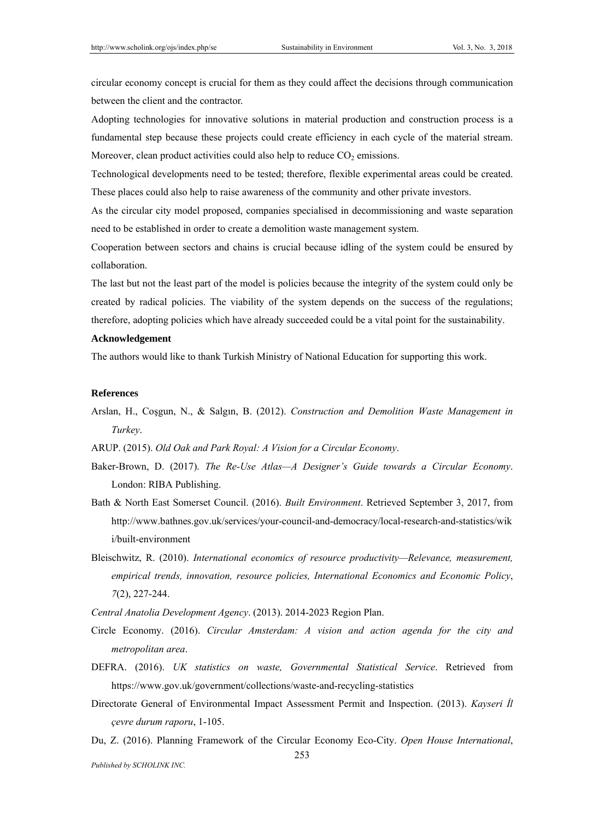circular economy concept is crucial for them as they could affect the decisions through communication between the client and the contractor.

Adopting technologies for innovative solutions in material production and construction process is a fundamental step because these projects could create efficiency in each cycle of the material stream. Moreover, clean product activities could also help to reduce  $CO<sub>2</sub>$  emissions.

Technological developments need to be tested; therefore, flexible experimental areas could be created. These places could also help to raise awareness of the community and other private investors.

As the circular city model proposed, companies specialised in decommissioning and waste separation need to be established in order to create a demolition waste management system.

Cooperation between sectors and chains is crucial because idling of the system could be ensured by collaboration.

The last but not the least part of the model is policies because the integrity of the system could only be created by radical policies. The viability of the system depends on the success of the regulations; therefore, adopting policies which have already succeeded could be a vital point for the sustainability.

### **Acknowledgement**

The authors would like to thank Turkish Ministry of National Education for supporting this work.

#### **References**

Arslan, H., Coşgun, N., & Salgın, B. (2012). *Construction and Demolition Waste Management in Turkey*.

ARUP. (2015). *Old Oak and Park Royal: A Vision for a Circular Economy*.

- Baker-Brown, D. (2017). *The Re-Use Atlas—A Designer's Guide towards a Circular Economy*. London: RIBA Publishing.
- Bath & North East Somerset Council. (2016). *Built Environment*. Retrieved September 3, 2017, from http://www.bathnes.gov.uk/services/your-council-and-democracy/local-research-and-statistics/wik i/built-environment
- Bleischwitz, R. (2010). *International economics of resource productivity—Relevance, measurement, empirical trends, innovation, resource policies, International Economics and Economic Policy*, *7*(2), 227-244.

*Central Anatolia Development Agency*. (2013). 2014-2023 Region Plan.

- Circle Economy. (2016). *Circular Amsterdam: A vision and action agenda for the city and metropolitan area*.
- DEFRA. (2016). *UK statistics on waste, Governmental Statistical Service*. Retrieved from https://www.gov.uk/government/collections/waste-and-recycling-statistics
- Directorate General of Environmental Impact Assessment Permit and Inspection. (2013). *Kayseri İl çevre durum raporu*, 1-105.
- 253 Du, Z. (2016). Planning Framework of the Circular Economy Eco-City. *Open House International*,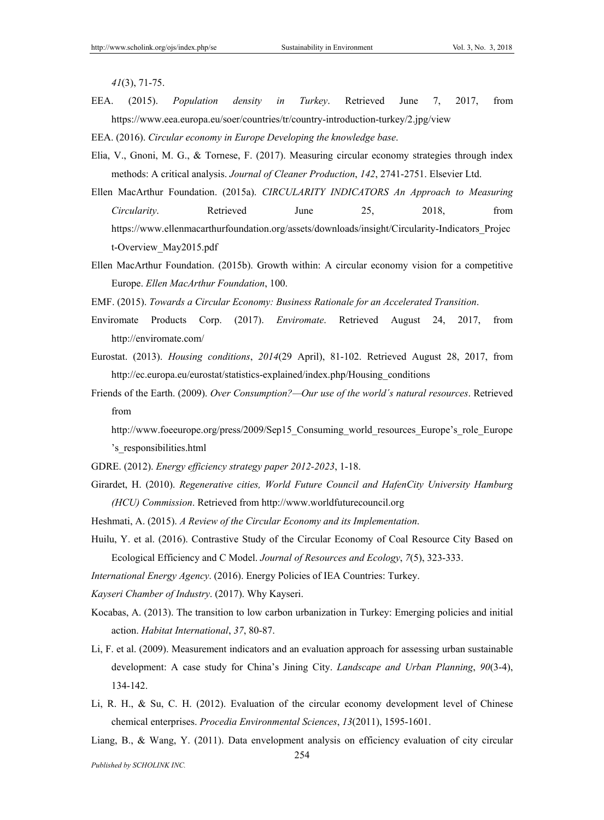*41*(3), 71-75.

- EEA. (2015). *Population density in Turkey*. Retrieved June 7, 2017, from https://www.eea.europa.eu/soer/countries/tr/country-introduction-turkey/2.jpg/view
- EEA. (2016). *Circular economy in Europe Developing the knowledge base*.
- Elia, V., Gnoni, M. G., & Tornese, F. (2017). Measuring circular economy strategies through index methods: A critical analysis. *Journal of Cleaner Production*, *142*, 2741-2751. Elsevier Ltd.
- Ellen MacArthur Foundation. (2015a). *CIRCULARITY INDICATORS An Approach to Measuring Circularity*. Retrieved June 25, 2018, from https://www.ellenmacarthurfoundation.org/assets/downloads/insight/Circularity-Indicators\_Projec t-Overview\_May2015.pdf
- Ellen MacArthur Foundation. (2015b). Growth within: A circular economy vision for a competitive Europe. *Ellen MacArthur Foundation*, 100.
- EMF. (2015). *Towards a Circular Economy: Business Rationale for an Accelerated Transition*.
- Enviromate Products Corp. (2017). *Enviromate*. Retrieved August 24, 2017, from http://enviromate.com/
- Eurostat. (2013). *Housing conditions*, *2014*(29 April), 81-102. Retrieved August 28, 2017, from http://ec.europa.eu/eurostat/statistics-explained/index.php/Housing\_conditions
- Friends of the Earth. (2009). *Over Consumption?—Our use of the world´s natural resources*. Retrieved from
	- http://www.foeeurope.org/press/2009/Sep15\_Consuming\_world\_resources\_Europe's\_role\_Europe 's\_responsibilities.html
- GDRE. (2012). *Energy efficiency strategy paper 2012-2023*, 1-18.
- Girardet, H. (2010). *Regenerative cities, World Future Council and HafenCity University Hamburg (HCU) Commission*. Retrieved from http://www.worldfuturecouncil.org
- Heshmati, A. (2015). *A Review of the Circular Economy and its Implementation*.
- Huilu, Y. et al. (2016). Contrastive Study of the Circular Economy of Coal Resource City Based on Ecological Efficiency and C Model. *Journal of Resources and Ecology*, *7*(5), 323-333.
- *International Energy Agency*. (2016). Energy Policies of IEA Countries: Turkey.
- *Kayseri Chamber of Industry*. (2017). Why Kayseri.
- Kocabas, A. (2013). The transition to low carbon urbanization in Turkey: Emerging policies and initial action. *Habitat International*, *37*, 80-87.
- Li, F. et al. (2009). Measurement indicators and an evaluation approach for assessing urban sustainable development: A case study for China's Jining City. *Landscape and Urban Planning*, *90*(3-4), 134-142.
- Li, R. H., & Su, C. H. (2012). Evaluation of the circular economy development level of Chinese chemical enterprises. *Procedia Environmental Sciences*, *13*(2011), 1595-1601.
- Liang, B., & Wang, Y. (2011). Data envelopment analysis on efficiency evaluation of city circular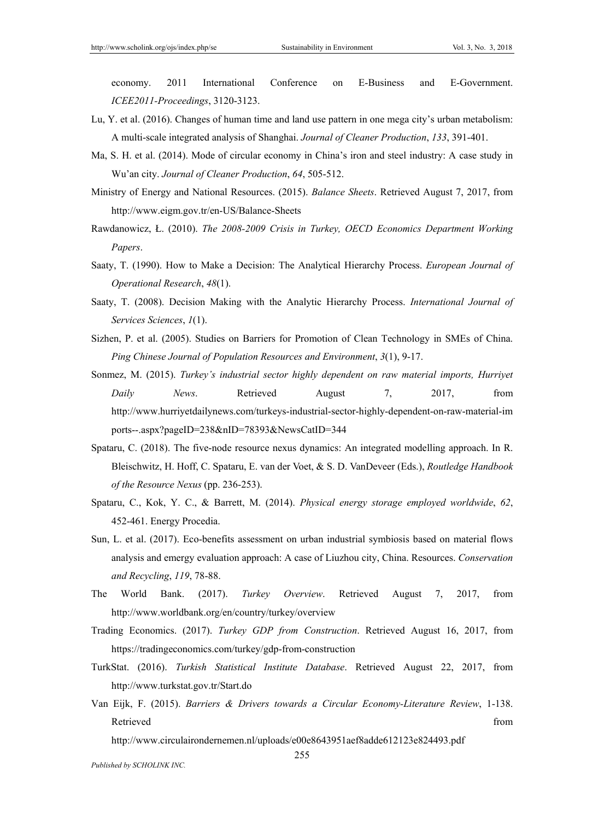economy. 2011 International Conference on E-Business and E-Government. *ICEE2011-Proceedings*, 3120-3123.

- Lu, Y. et al. (2016). Changes of human time and land use pattern in one mega city's urban metabolism: A multi-scale integrated analysis of Shanghai. *Journal of Cleaner Production*, *133*, 391-401.
- Ma, S. H. et al. (2014). Mode of circular economy in China's iron and steel industry: A case study in Wu'an city. *Journal of Cleaner Production*, *64*, 505-512.
- Ministry of Energy and National Resources. (2015). *Balance Sheets*. Retrieved August 7, 2017, from http://www.eigm.gov.tr/en-US/Balance-Sheets
- Rawdanowicz, Ł. (2010). *The 2008-2009 Crisis in Turkey, OECD Economics Department Working Papers*.
- Saaty, T. (1990). How to Make a Decision: The Analytical Hierarchy Process. *European Journal of Operational Research*, *48*(1).
- Saaty, T. (2008). Decision Making with the Analytic Hierarchy Process. *International Journal of Services Sciences*, *1*(1).
- Sizhen, P. et al. (2005). Studies on Barriers for Promotion of Clean Technology in SMEs of China. *Ping Chinese Journal of Population Resources and Environment*, *3*(1), 9-17.
- Sonmez, M. (2015). *Turkey's industrial sector highly dependent on raw material imports, Hurriyet Daily News*. Retrieved August 7, 2017, from http://www.hurriyetdailynews.com/turkeys-industrial-sector-highly-dependent-on-raw-material-im ports--.aspx?pageID=238&nID=78393&NewsCatID=344
- Spataru, C. (2018). The five-node resource nexus dynamics: An integrated modelling approach. In R. Bleischwitz, H. Hoff, C. Spataru, E. van der Voet, & S. D. VanDeveer (Eds.), *Routledge Handbook of the Resource Nexus* (pp. 236-253).
- Spataru, C., Kok, Y. C., & Barrett, M. (2014). *Physical energy storage employed worldwide*, *62*, 452-461. Energy Procedia.
- Sun, L. et al. (2017). Eco-benefits assessment on urban industrial symbiosis based on material flows analysis and emergy evaluation approach: A case of Liuzhou city, China. Resources. *Conservation and Recycling*, *119*, 78-88.
- The World Bank. (2017). *Turkey Overview*. Retrieved August 7, 2017, from http://www.worldbank.org/en/country/turkey/overview
- Trading Economics. (2017). *Turkey GDP from Construction*. Retrieved August 16, 2017, from https://tradingeconomics.com/turkey/gdp-from-construction
- TurkStat. (2016). *Turkish Statistical Institute Database*. Retrieved August 22, 2017, from http://www.turkstat.gov.tr/Start.do
- Van Eijk, F. (2015). *Barriers & Drivers towards a Circular Economy-Literature Review*, 1-138. Retrieved that the contract of the contract of the contract of the contract of the contract of the contract of the contract of the contract of the contract of the contract of the contract of the contract of the contract of

http://www.circulairondernemen.nl/uploads/e00e8643951aef8adde612123e824493.pdf